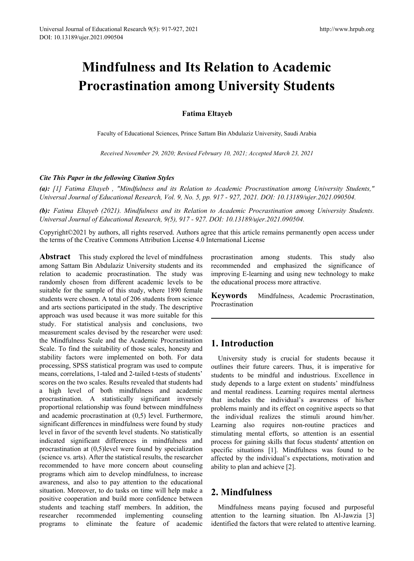# **Mindfulness and Its Relation to Academic Procrastination among University Students**

### **Fatima Eltayeb**

Faculty of Educational Sciences, Prince Sattam Bin Abdulaziz University, Saudi Arabia

*Received November 29, 2020; Revised February 10, 2021; Accepted March 23, 2021*

#### *Cite This Paper in the following Citation Styles*

*(a): [1] Fatima Eltayeb , "Mindfulness and its Relation to Academic Procrastination among University Students," Universal Journal of Educational Research, Vol. 9, No. 5, pp. 917 - 927, 2021. DOI: 10.13189/ujer.2021.090504.* 

*(b): Fatima Eltayeb (2021). Mindfulness and its Relation to Academic Procrastination among University Students. Universal Journal of Educational Research, 9(5), 917 - 927. DOI: 10.13189/ujer.2021.090504.* 

Copyright©2021 by authors, all rights reserved. Authors agree that this article remains permanently open access under the terms of the Creative Commons Attribution License 4.0 International License

**Abstract** This study explored the level of mindfulness among Sattam Bin Abdulaziz University students and its relation to academic procrastination. The study was randomly chosen from different academic levels to be suitable for the sample of this study, where 1890 female students were chosen. A total of 206 students from science and arts sections participated in the study. The descriptive approach was used because it was more suitable for this study. For statistical analysis and conclusions, two measurement scales devised by the researcher were used: the Mindfulness Scale and the Academic Procrastination Scale. To find the suitability of those scales, honesty and stability factors were implemented on both. For data processing, SPSS statistical program was used to compute means, correlations, 1-taled and 2-tailed t-tests of students' scores on the two scales. Results revealed that students had a high level of both mindfulness and academic procrastination. A statistically significant inversely proportional relationship was found between mindfulness and academic procrastination at (0,5) level. Furthermore, significant differences in mindfulness were found by study level in favor of the seventh level students. No statistically indicated significant differences in mindfulness and procrastination at (0,5)level were found by specialization (science vs. arts). After the statistical results, the researcher recommended to have more concern about counseling programs which aim to develop mindfulness, to increase awareness, and also to pay attention to the educational situation. Moreover, to do tasks on time will help make a positive cooperation and build more confidence between students and teaching staff members. In addition, the researcher recommended implementing counseling programs to eliminate the feature of academic

procrastination among students. This study also recommended and emphasized the significance of improving E-learning and using new technology to make the educational process more attractive.

**Keywords** Mindfulness, Academic Procrastination, Procrastination

# **1. Introduction**

University study is crucial for students because it outlines their future careers. Thus, it is imperative for students to be mindful and industrious. Excellence in study depends to a large extent on students' mindfulness and mental readiness. Learning requires mental alertness that includes the individual's awareness of his/her problems mainly and its effect on cognitive aspects so that the individual realizes the stimuli around him/her. Learning also requires non-routine practices and stimulating mental efforts, so attention is an essential process for gaining skills that focus students' attention on specific situations [1]. Mindfulness was found to be affected by the individual's expectations, motivation and ability to plan and achieve [2].

# **2. Mindfulness**

Mindfulness means paying focused and purposeful attention to the learning situation. Ibn Al-Jawzia [3] identified the factors that were related to attentive learning.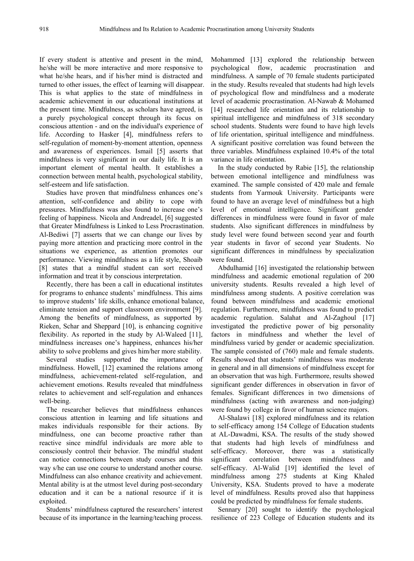If every student is attentive and present in the mind, he/she will be more interactive and more responsive to what he/she hears, and if his/her mind is distracted and turned to other issues, the effect of learning will disappear. This is what applies to the state of mindfulness in academic achievement in our educational institutions at the present time. Mindfulness, as scholars have agreed, is a purely psychological concept through its focus on conscious attention - and on the individual's experience of life. According to Hasker [4], mindfulness refers to self-regulation of moment-by-moment attention, openness and awareness of experiences. Ismail [5] asserts that mindfulness is very significant in our daily life. It is an important element of mental health. It establishes a connection between mental health, psychological stability, self-esteem and life satisfaction.

Studies have proven that mindfulness enhances one's attention, self-confidence and ability to cope with pressures. Mindfulness was also found to increase one's feeling of happiness. Nicola and Andreadel, [6] suggested that Greater Mindfulness is Linked to Less Procrastination. Al-Bediwi [7] asserts that we can change our lives by paying more attention and practicing more control in the situations we experience, as attention promotes our performance. Viewing mindfulness as a life style, Shoaib [8] states that a mindful student can sort received information and treat it by conscious interpretation.

Recently, there has been a call in educational institutes for programs to enhance students' mindfulness. This aims to improve students' life skills, enhance emotional balance, eliminate tension and support classroom environment [9]. Among the benefits of mindfulness, as supported by Rieken, Schar and Sheppard [10], is enhancing cognitive flexibility. As reported in the study by Al-Waleed [11], mindfulness increases one's happiness, enhances his/her ability to solve problems and gives him/her more stability.

Several studies supported the importance of mindfulness. Howell, [12] examined the relations among mindfulness, achievement-related self-regulation, and achievement emotions. Results revealed that mindfulness relates to achievement and self-regulation and enhances well-being.

The researcher believes that mindfulness enhances conscious attention in learning and life situations and makes individuals responsible for their actions. By mindfulness, one can become proactive rather than reactive since mindful individuals are more able to consciously control their behavior. The mindful student can notice connections between study courses and this way s/he can use one course to understand another course. Mindfulness can also enhance creativity and achievement. Mental ability is at the utmost level during post-secondary education and it can be a national resource if it is exploited.

Students' mindfulness captured the researchers' interest because of its importance in the learning/teaching process.

Mohammed [13] explored the relationship between psychological flow, academic procrastination and mindfulness. A sample of 70 female students participated in the study. Results revealed that students had high levels of psychological flow and mindfulness and a moderate level of academic procrastination. Al-Nawab & Mohamed [14] researched life orientation and its relationship to spiritual intelligence and mindfulness of 318 secondary school students. Students were found to have high levels of life orientation, spiritual intelligence and mindfulness. A significant positive correlation was found between the three variables. Mindfulness explained 10.4% of the total variance in life orientation.

In the study conducted by Rabie [15], the relationship between emotional intelligence and mindfulness was examined. The sample consisted of 420 male and female students from Yarmouk University. Participants were found to have an average level of mindfulness but a high level of emotional intelligence. Significant gender differences in mindfulness were found in favor of male students. Also significant differences in mindfulness by study level were found between second year and fourth year students in favor of second year Students. No significant differences in mindfulness by specialization were found.

Abdulhamid [16] investigated the relationship between mindfulness and academic emotional regulation of 200 university students. Results revealed a high level of mindfulness among students. A positive correlation was found between mindfulness and academic emotional regulation. Furthermore, mindfulness was found to predict academic regulation. Salahat and Al-Zaghoul [17] investigated the predictive power of big personality factors in mindfulness and whether the level of mindfulness varied by gender or academic specialization. The sample consisted of (760) male and female students. Results showed that students' mindfulness was moderate in general and in all dimensions of mindfulness except for an observation that was high. Furthermore, results showed significant gender differences in observation in favor of females. Significant differences in two dimensions of mindfulness (acting with awareness and non-judging) were found by college in favor of human science majors.

Al-Shalawi [18] explored mindfulness and its relation to self-efficacy among 154 College of Education students at AL-Dawadmi, KSA. The results of the study showed that students had high levels of mindfulness and self-efficacy. Moreover, there was a statistically significant correlation between mindfulness and self-efficacy. Al-Walid [19] identified the level of mindfulness among 275 students at King Khaled University, KSA. Students proved to have a moderate level of mindfulness. Results proved also that happiness could be predicted by mindfulness for female students.

Sennary [20] sought to identify the psychological resilience of 223 College of Education students and its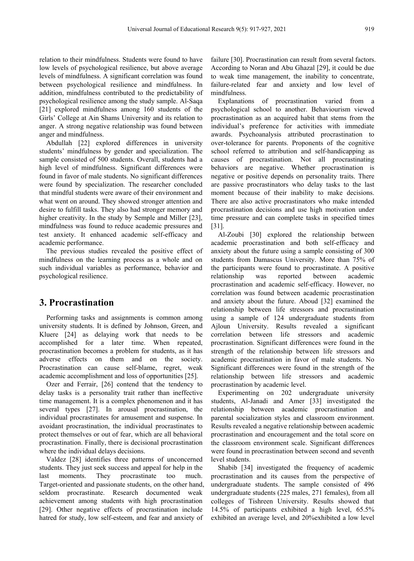relation to their mindfulness. Students were found to have low levels of psychological resilience, but above average levels of mindfulness. A significant correlation was found between psychological resilience and mindfulness. In addition, mindfulness contributed to the predictability of psychological resilience among the study sample. Al-Saqa [21] explored mindfulness among 160 students of the Girls' College at Ain Shams University and its relation to anger. A strong negative relationship was found between anger and mindfulness.

Abdullah [22] explored differences in university students' mindfulness by gender and specialization. The sample consisted of 500 students. Overall, students had a high level of mindfulness. Significant differences were found in favor of male students. No significant differences were found by specialization. The researcher concluded that mindful students were aware of their environment and what went on around. They showed stronger attention and desire to fulfill tasks. They also had stronger memory and higher creativity. In the study by Semple and Miller [23], mindfulness was found to reduce academic pressures and test anxiety. It enhanced academic self-efficacy and academic performance.

The previous studies revealed the positive effect of mindfulness on the learning process as a whole and on such individual variables as performance, behavior and psychological resilience.

## **3. Procrastination**

Performing tasks and assignments is common among university students. It is defined by Johnson, Green, and Kluere [24] as delaying work that needs to be accomplished for a later time. When repeated, procrastination becomes a problem for students, as it has adverse effects on them and on the society. Procrastination can cause self-blame, regret, weak academic accomplishment and loss of opportunities [25].

Ozer and Ferrair, [26] contend that the tendency to delay tasks is a personality trait rather than ineffective time management. It is a complex phenomenon and it has several types [27]. In arousal procrastination, the individual procrastinates for amusement and suspense. In avoidant procrastination, the individual procrastinates to protect themselves or out of fear, which are all behavioral procrastination. Finally, there is decisional procrastination where the individual delays decisions.

Valdez [28] identifies three patterns of unconcerned students. They just seek success and appeal for help in the last moments. They procrastinate too much. Target-oriented and passionate students, on the other hand, seldom procrastinate. Research documented weak achievement among students with high procrastination [29]. Other negative effects of procrastination include hatred for study, low self-esteem, and fear and anxiety of

failure [30]. Procrastination can result from several factors. According to Noran and Abu Ghazal [29], it could be due to weak time management, the inability to concentrate, failure-related fear and anxiety and low level of mindfulness.

Explanations of procrastination varied from a psychological school to another. Behaviourism viewed procrastination as an acquired habit that stems from the individual's preference for activities with immediate awards. Psychoanalysis attributed procrastination to over-tolerance for parents. Proponents of the cognitive school referred to attribution and self-handicapping as causes of procrastination. Not all procrastinating behaviors are negative. Whether procrastination is negative or positive depends on personality traits. There are passive procrastinators who delay tasks to the last moment because of their inability to make decisions. There are also active procrastinators who make intended procrastination decisions and use high motivation under time pressure and can complete tasks in specified times [31].

Al-Zoubi [30] explored the relationship between academic procrastination and both self-efficacy and anxiety about the future using a sample consisting of 300 students from Damascus University. More than 75% of the participants were found to procrastinate. A positive relationship was reported between academic procrastination and academic self-efficacy. However, no correlation was found between academic procrastination and anxiety about the future. Aboud [32] examined the relationship between life stressors and procrastination using a sample of 124 undergraduate students from Ajloun University. Results revealed a significant correlation between life stressors and academic procrastination. Significant differences were found in the strength of the relationship between life stressors and academic procrastination in favor of male students. No Significant differences were found in the strength of the relationship between life stressors and academic procrastination by academic level.

Experimenting on 202 undergraduate university students, Al-Janadi and Amer [33] investigated the relationship between academic procrastination and parental socialization styles and classroom environment. Results revealed a negative relationship between academic procrastination and encouragement and the total score on the classroom environment scale. Significant differences were found in procrastination between second and seventh level students.

Shabib [34] investigated the frequency of academic procrastination and its causes from the perspective of undergraduate students. The sample consisted of 496 undergraduate students (225 males, 271 females), from all colleges of Tishreen University. Results showed that 14.5% of participants exhibited a high level, 65.5% exhibited an average level, and 20%exhibited a low level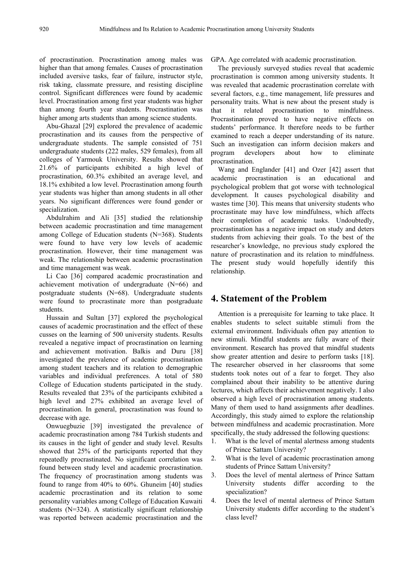of procrastination. Procrastination among males was higher than that among females. Causes of procrastination included aversive tasks, fear of failure, instructor style, risk taking, classmate pressure, and resisting discipline control. Significant differences were found by academic level. Procrastination among first year students was higher than among fourth year students. Procrastination was higher among arts students than among science students.

Abu-Ghazal [29] explored the prevalence of academic procrastination and its causes from the perspective of undergraduate students. The sample consisted of 751 undergraduate students (222 males, 529 females), from all colleges of Yarmouk University. Results showed that 21.6% of participants exhibited a high level of procrastination, 60.3% exhibited an average level, and 18.1% exhibited a low level. Procrastination among fourth year students was higher than among students in all other years. No significant differences were found gender or specialization.

Abdulrahim and Ali [35] studied the relationship between academic procrastination and time management among College of Education students (N=368). Students were found to have very low levels of academic procrastination. However, their time management was weak. The relationship between academic procrastination and time management was weak.

Li Cao [36] compared academic procrastination and achievement motivation of undergraduate (N=66) and postgraduate students (N=68). Undergraduate students were found to procrastinate more than postgraduate students.

Hussain and Sultan [37] explored the psychological causes of academic procrastination and the effect of these cusses on the learning of 500 university students. Results revealed a negative impact of procrastination on learning and achievement motivation. Balkis and Duru [38] investigated the prevalence of academic procrastination among student teachers and its relation to demographic variables and individual preferences. A total of 580 College of Education students participated in the study. Results revealed that 23% of the participants exhibited a high level and 27% exhibited an average level of procrastination. In general, procrastination was found to decrease with age.

Onwuegbuzie [39] investigated the prevalence of academic procrastination among 784 Turkish students and its causes in the light of gender and study level. Results showed that 25% of the participants reported that they repeatedly procrastinated. No significant correlation was found between study level and academic procrastination. The frequency of procrastination among students was found to range from 40% to 60%. Ghuneim [40] studies academic procrastination and its relation to some personality variables among College of Education Kuwaiti students (N=324). A statistically significant relationship was reported between academic procrastination and the

GPA. Age correlated with academic procrastination.

The previously surveyed studies reveal that academic procrastination is common among university students. It was revealed that academic procrastination correlate with several factors, e.g., time management, life pressures and personality traits. What is new about the present study is that it related procrastination to mindfulness. Procrastination proved to have negative effects on students' performance. It therefore needs to be further examined to reach a deeper understanding of its nature. Such an investigation can inform decision makers and program developers about how to eliminate procrastination.

Wang and Englander [41] and Ozer [42] assert that academic procrastination is an educational and psychological problem that got worse with technological development. It causes psychological disability and wastes time [30]. This means that university students who procrastinate may have low mindfulness, which affects their completion of academic tasks. Undoubtedly, procrastination has a negative impact on study and deters students from achieving their goals. To the best of the researcher's knowledge, no previous study explored the nature of procrastination and its relation to mindfulness. The present study would hopefully identify this relationship.

### **4. Statement of the Problem**

Attention is a prerequisite for learning to take place. It enables students to select suitable stimuli from the external environment. Individuals often pay attention to new stimuli. Mindful students are fully aware of their environment. Research has proved that mindful students show greater attention and desire to perform tasks [18]. The researcher observed in her classrooms that some students took notes out of a fear to forget. They also complained about their inability to be attentive during lectures, which affects their achievement negatively. I also observed a high level of procrastination among students. Many of them used to hand assignments after deadlines. Accordingly, this study aimed to explore the relationship between mindfulness and academic procrastination. More specifically, the study addressed the following questions:

- 1. What is the level of mental alertness among students of Prince Sattam University?
- 2. What is the level of academic procrastination among students of Prince Sattam University?
- 3. Does the level of mental alertness of Prince Sattam University students differ according to the specialization?
- 4. Does the level of mental alertness of Prince Sattam University students differ according to the student's class level?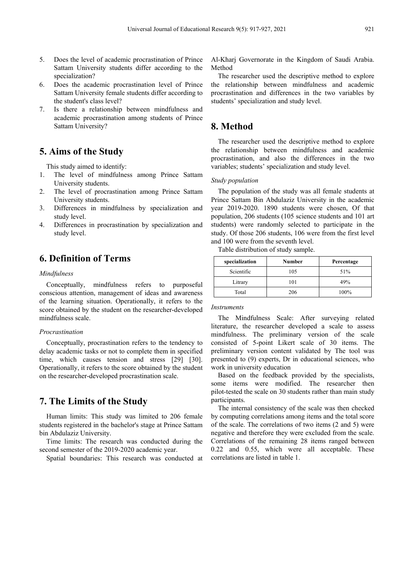- 5. Does the level of academic procrastination of Prince Sattam University students differ according to the specialization?
- 6. Does the academic procrastination level of Prince Sattam University female students differ according to the student's class level?
- 7. Is there a relationship between mindfulness and academic procrastination among students of Prince Sattam University?

# **5. Aims of the Study**

This study aimed to identify:

- 1. The level of mindfulness among Prince Sattam University students.
- 2. The level of procrastination among Prince Sattam University students.
- 3. Differences in mindfulness by specialization and study level.
- 4. Differences in procrastination by specialization and study level.

# **6. Definition of Terms**

#### *Mindfulness*

Conceptually, mindfulness refers to purposeful conscious attention, management of ideas and awareness of the learning situation. Operationally, it refers to the score obtained by the student on the researcher-developed mindfulness scale.

#### *Procrastination*

Conceptually, procrastination refers to the tendency to delay academic tasks or not to complete them in specified time, which causes tension and stress [29] [30]. Operationally, it refers to the score obtained by the student on the researcher-developed procrastination scale.

# **7. The Limits of the Study**

Human limits: This study was limited to 206 female students registered in the bachelor's stage at Prince Sattam bin Abdulaziz University.

Time limits: The research was conducted during the second semester of the 2019-2020 academic year.

Spatial boundaries: This research was conducted at

Al-Kharj Governorate in the Kingdom of Saudi Arabia. Method

The researcher used the descriptive method to explore the relationship between mindfulness and academic procrastination and differences in the two variables by students' specialization and study level.

### **8. Method**

The researcher used the descriptive method to explore the relationship between mindfulness and academic procrastination, and also the differences in the two variables; students' specialization and study level.

#### *Study population*

The population of the study was all female students at Prince Sattam Bin Abdulaziz University in the academic year 2019-2020. 1890 students were chosen, Of that population, 206 students (105 science students and 101 art students) were randomly selected to participate in the study. Of those 206 students, 106 were from the first level and 100 were from the seventh level.

Table distribution of study sample.

| specialization | Number | Percentage |
|----------------|--------|------------|
| Scientific     | 105    | 51%        |
| Litrary        | 101    | 49%        |
| Total          | 206    | 100%       |

#### *Instruments*

The Mindfulness Scale: After surveying related literature, the researcher developed a scale to assess mindfulness. The preliminary version of the scale consisted of 5-point Likert scale of 30 items. The preliminary version content validated by The tool was presented to (9) experts, Dr in educational sciences, who work in university education

Based on the feedback provided by the specialists, some items were modified. The researcher then pilot-tested the scale on 30 students rather than main study participants.

The internal consistency of the scale was then checked by computing correlations among items and the total score of the scale. The correlations of two items (2 and 5) were negative and therefore they were excluded from the scale. Correlations of the remaining 28 items ranged between 0.22 and 0.55, which were all acceptable. These correlations are listed in table 1.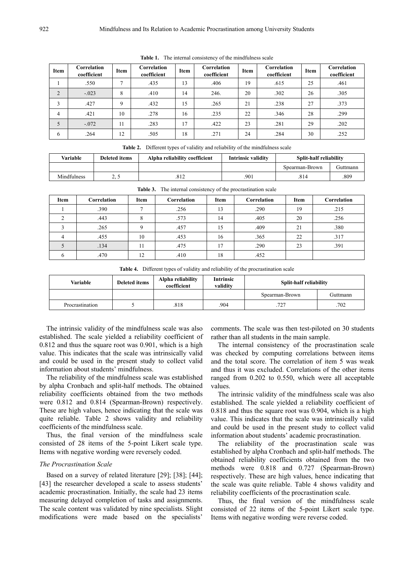| Item           | Correlation<br>coefficient | Item          | Correlation<br>coefficient | Item | Correlation<br>coefficient | Item | Correlation<br>coefficient | <b>Item</b> | Correlation<br>coefficient |
|----------------|----------------------------|---------------|----------------------------|------|----------------------------|------|----------------------------|-------------|----------------------------|
|                | .550                       | $\mathcal{L}$ | .435                       | 13   | .406                       | 19   | .615                       | 25          | .461                       |
| $\overline{2}$ | $-.023$                    | 8             | .410                       | 14   | 246.                       | 20   | .302                       | 26          | .305                       |
| 3              | .427                       | 9             | .432                       | 15   | .265                       | 21   | .238                       | 27          | .373                       |
| 4              | .421                       | 10            | .278                       | 16   | .235                       | 22   | .346                       | 28          | .299                       |
| 5              | $-.072$                    | 11            | .283                       | 17   | .422                       | 23   | .281                       | 29          | .202                       |
| 6              | .264                       | 12            | .505                       | 18   | .271                       | 24   | .284                       | 30          | .252                       |

**Table 1.** The internal consistency of the mindfulness scale

|  |  |  | <b>Table 2.</b> Different types of validity and reliability of the mindfulness scale |
|--|--|--|--------------------------------------------------------------------------------------|
|--|--|--|--------------------------------------------------------------------------------------|

| Variable    | Deleted items | Alpha reliability coefficient | Intrinsic validity | Split-half reliability |          |
|-------------|---------------|-------------------------------|--------------------|------------------------|----------|
|             |               |                               |                    | Spearman-Brown         | Guttmann |
| Mindfulness | ر . ب         | .o 12                         | 901                | .814                   | 809      |

| Item | Correlation | Item     | Correlation | Item | Correlation | Item | Correlation |
|------|-------------|----------|-------------|------|-------------|------|-------------|
|      | .390        |          | .256        | 13   | .290        | 19   | .215        |
|      | .443        |          | .573        | 14   | .405        | 20   | .256        |
|      | .265        | $\Omega$ | .457        | 15   | .409        | 21   | .380        |
|      | .455        | 10       | .453        | 16   | .365        | 22   | .317        |
|      | .134        | 11       | .475        | 17   | .290        | 23   | .391        |
|      | .470        | 12       | .410        | 18   | .452        |      |             |

**Table 3.** The internal consistency of the procrastination scale

**Table 4.** Different types of validity and reliability of the procrastination scale

| Variable        | Deleted items | Alpha reliability<br>coefficient | <b>Intrinsic</b><br>validity | <b>Split-half reliability</b> |          |
|-----------------|---------------|----------------------------------|------------------------------|-------------------------------|----------|
|                 |               |                                  |                              | Spearman-Brown                | Guttmann |
| Procrastination |               | .818                             | 904                          | .727                          | 702      |

The intrinsic validity of the mindfulness scale was also established. The scale yielded a reliability coefficient of 0.812 and thus the square root was 0.901, which is a high value. This indicates that the scale was intrinsically valid and could be used in the present study to collect valid information about students' mindfulness.

The reliability of the mindfulness scale was established by alpha Cronbach and split-half methods. The obtained reliability coefficients obtained from the two methods were 0.812 and 0.814 (Spearman-Brown) respectively. These are high values, hence indicating that the scale was quite reliable. Table 2 shows validity and reliability coefficients of the mindfulness scale.

Thus, the final version of the mindfulness scale consisted of 28 items of the 5-point Likert scale type. Items with negative wording were reversely coded.

#### *The Procrastination Scale*

Based on a survey of related literature [29]; [38]; [44]; [43] the researcher developed a scale to assess students' academic procrastination. Initially, the scale had 23 items measuring delayed completion of tasks and assignments. The scale content was validated by nine specialists. Slight modifications were made based on the specialists'

comments. The scale was then test-piloted on 30 students rather than all students in the main sample.

The internal consistency of the procrastination scale was checked by computing correlations between items and the total score. The correlation of item 5 was weak and thus it was excluded. Correlations of the other items ranged from 0.202 to 0.550, which were all acceptable values.

The intrinsic validity of the mindfulness scale was also established. The scale yielded a reliability coefficient of 0.818 and thus the square root was 0.904, which is a high value. This indicates that the scale was intrinsically valid and could be used in the present study to collect valid information about students' academic procrastination.

The reliability of the procrastination scale was established by alpha Cronbach and split-half methods. The obtained reliability coefficients obtained from the two methods were 0.818 and 0.727 (Spearman-Brown) respectively. These are high values, hence indicating that the scale was quite reliable. Table 4 shows validity and reliability coefficients of the procrastination scale.

Thus, the final version of the mindfulness scale consisted of 22 items of the 5-point Likert scale type. Items with negative wording were reverse coded.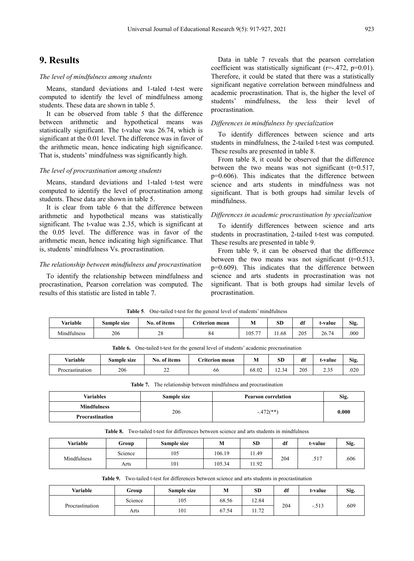### **9. Results**

#### *The level of mindfulness among students*

Means, standard deviations and 1-taled t-test were computed to identify the level of mindfulness among students. These data are shown in table 5.

It can be observed from table 5 that the difference between arithmetic and hypothetical means was statistically significant. The t-value was 26.74, which is significant at the 0.01 level. The difference was in favor of the arithmetic mean, hence indicating high significance. That is, students' mindfulness was significantly high.

### *The level of procrastination among students*

Means, standard deviations and 1-taled t-test were computed to identify the level of procrastination among students. These data are shown in table 5.

It is clear from table 6 that the difference between arithmetic and hypothetical means was statistically significant. The t-value was 2.35, which is significant at the 0.05 level. The difference was in favor of the arithmetic mean, hence indicating high significance. That is, students' mindfulness Vs. procrastination.

#### *The relationship between mindfulness and procrastination*

To identify the relationship between mindfulness and procrastination, Pearson correlation was computed. The results of this statistic are listed in table 7.

Data in table 7 reveals that the pearson correlation coefficient was statistically significant ( $r=-.472$ ,  $p=0.01$ ). Therefore, it could be stated that there was a statistically significant negative correlation between mindfulness and academic procrastination. That is, the higher the level of students' mindfulness, the less their level of procrastination.

#### *Differences in mindfulness by specialization*

To identify differences between science and arts students in mindfulness, the 2-tailed t-test was computed. These results are presented in table 8.

From table 8, it could be observed that the difference between the two means was not significant  $(t=0.517)$ , p=0.606). This indicates that the difference between science and arts students in mindfulness was not significant. That is both groups had similar levels of mindfulness.

#### *Differences in academic procrastination by specialization*

To identify differences between science and arts students in procrastination, 2-tailed t-test was computed. These results are presented in table 9.

From table 9, it can be observed that the difference between the two means was not significant  $(t=0.513)$ , p=0.609). This indicates that the difference between science and arts students in procrastination was not significant. That is both groups had similar levels of procrastination.

|             | One-tailed t-test for the general level of students' mindfulness<br>Table 5. |              |                |        |      |     |         |      |  |  |
|-------------|------------------------------------------------------------------------------|--------------|----------------|--------|------|-----|---------|------|--|--|
| Variable    | Sample size                                                                  | No. of items | Criterion mean | M      | SD   | df  | t-value | Sig. |  |  |
| Mindfulness | 206                                                                          | 28           | 84             | 105.77 | 1.68 | 205 | 26.74   | .000 |  |  |

**Table 6.** One-tailed t-test for the general level of students' academic procrastination

| Variable<br>. . | Sample size | $\mathbf{v}$<br>of items<br>N0. | riterion<br>mean | IVI                                      | <b>SE</b>         | df  | t-value                        | Sig. |
|-----------------|-------------|---------------------------------|------------------|------------------------------------------|-------------------|-----|--------------------------------|------|
| Procrastination | 206         | ~~<br>--                        | 00               | $^{\circ}$ $\Omega$<br>$\cdots$<br>68.UZ | 34<br>$\sim$<br>. | 205 | $\sim$ $\sim$ $\sim$<br>ں رہے۔ | .020 |

**Table 7.** The relationship between mindfulness and procrastination

| Variables          | Sample size | <b>Pearson correlation</b> | Sig.  |
|--------------------|-------------|----------------------------|-------|
| <b>Mindfulness</b> |             |                            |       |
| Procrastination    | 206         | $-472$ <sup>**</sup> )     | 0.000 |

**Table 8.** Two-tailed t-test for differences between science and arts students in mindfulness

| Variable    | Group   | Sample size | 1VI.   | <b>SD</b> | df  | t-value | Sig. |
|-------------|---------|-------------|--------|-----------|-----|---------|------|
| Mindfulness | Science | 105         | 106.19 | 11.49     |     |         |      |
|             | Arts    | 101         | 105.34 | 11.92     | 204 | .517    | .606 |

**Table 9.** Two-tailed t-test for differences between science and arts students in procrastination

| <b>Variable</b> | Group                     | Sample size | M     | SD          | df  | t-value | Sig. |
|-----------------|---------------------------|-------------|-------|-------------|-----|---------|------|
| Procrastination | $\sim$ $\cdot$<br>Science | 105         | 68.56 | 12.84       | 204 |         |      |
|                 | Arts                      | 101         | 67.54 | 72<br>11.74 |     | $-.513$ | .609 |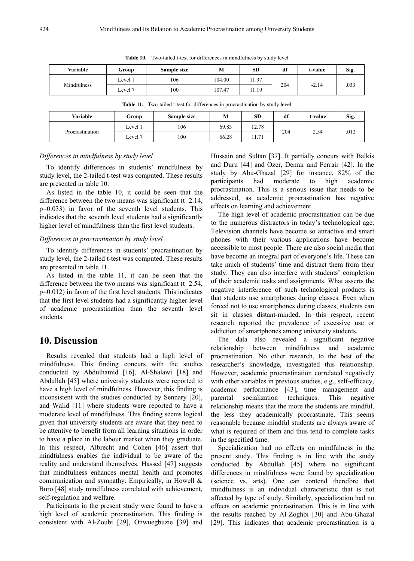| Variable    | Group   | Sample size | M      | <b>SD</b> | df  | t-value | Sig. |
|-------------|---------|-------------|--------|-----------|-----|---------|------|
| Mindfulness | Level 1 | 106         | 104.00 | 11.97     |     |         |      |
|             | Level 7 | 100         | 107.47 | 11.19     | 204 | $-2.14$ | .033 |

**Table 10.** Two-tailed t-test for differences in mindfulness by study level

| <b>Table 11.</b> Two-tailed t-test for differences in procrastination by study level |         |             |       |           |     |         |      |
|--------------------------------------------------------------------------------------|---------|-------------|-------|-----------|-----|---------|------|
| Variable                                                                             | Group   | Sample size | M     | <b>SD</b> | df  | t-value | Sig. |
| Procrastination                                                                      | Level 1 | 106         | 69.83 | 12.78     | 204 | 2.54    | .012 |
|                                                                                      | Level 7 | 100         | 66.28 | 11.71     |     |         |      |

*Differences in mindfulness by study level*

To identify differences in students' mindfulness by study level, the 2-tailed t-test was computed. These results are presented in table 10.

As listed in the table 10, it could be seen that the difference between the two means was significant  $(t=2.14,$ p=0.033) in favor of the seventh level students. This indicates that the seventh level students had a significantly higher level of mindfulness than the first level students.

#### *Differences in procrastination by study level*

To identify differences in students' procrastination by study level, the 2-tailed t-test was computed. These results are presented in table 11.

As listed in the table 11, it can be seen that the difference between the two means was significant  $(t=2.54,$ p=0.012) in favor of the first level students. This indicates that the first level students had a significantly higher level of academic procrastination than the seventh level students.

## **10. Discussion**

Results revealed that students had a high level of mindfulness. This finding concurs with the studies conducted by Abdulhamid [16], Al-Shalawi [18] and Abdullah [45] where university students were reported to have a high level of mindfulness. However, this finding is inconsistent with the studies conducted by Sennary [20], and Walid [11] where students were reported to have a moderate level of mindfulness. This finding seems logical given that university students are aware that they need to be attentive to benefit from all learning situations in order to have a place in the labour market when they graduate. In this respect, Albrecht and Cohen [46] assert that mindfulness enables the individual to be aware of the reality and understand themselves. Hassed [47] suggests that mindfulness enhances mental health and promotes communication and sympathy. Empirically, in Howell & Buro [48] study mindfulness correlated with achievement, self-regulation and welfare.

Participants in the present study were found to have a high level of academic procrastination. This finding is consistent with Al-Zoubi [29], Onwuegbuzie [39] and Hussain and Sultan [37]. It partially concurs with Balkis and Duru [44] and Ozer, Demur and Ferrair [42]. In the study by Abu-Ghazal [29] for instance, 82% of the participants had moderate to high academic procrastination. This is a serious issue that needs to be addressed, as academic procrastination has negative effects on learning and achievement.

The high level of academic procrastination can be due to the numerous distractors in today's technological age. Television channels have become so attractive and smart phones with their various applications have become accessible to most people. There are also social media that have become an integral part of everyone's life. These can take much of students' time and distract them from their study. They can also interfere with students' completion of their academic tasks and assignments. What asserts the negative interference of such technological products is that students use smartphones during classes. Even when forced not to use smartphones during classes, students can sit in classes distant-minded. In this respect, recent research reported the prevalence of excessive use or addiction of smartphones among university students.

The data also revealed a significant negative relationship between mindfulness and academic procrastination. No other research, to the best of the researcher's knowledge, investigated this relationship. However, academic procrastination correlated negatively with other variables in previous studies, e.g., self-efficacy, academic performance [43], time management and parental socialization techniques. This negative relationship means that the more the students are mindful, the less they academically procrastinate. This seems reasonable because mindful students are always aware of what is required of them and thus tend to complete tasks in the specified time.

Specialization had no effects on mindfulness in the present study. This finding is in line with the study conducted by Abdullah [45] where no significant differences in mindfulness were found by specialization (science vs. arts). One can contend therefore that mindfulness is an individual characteristic that is not affected by type of study. Similarly, specialization had no effects on academic procrastination. This is in line with the results reached by Al-Zoghbi [30] and Abu-Ghazal [29]. This indicates that academic procrastination is a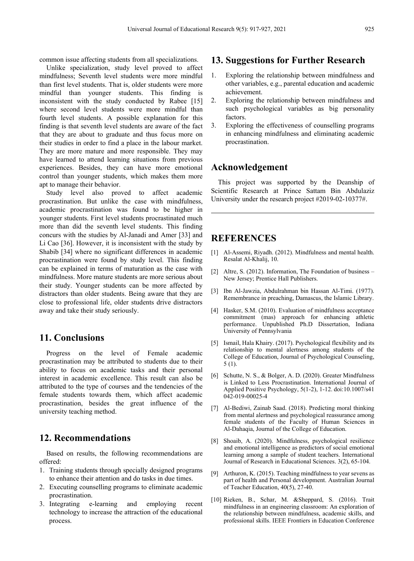common issue affecting students from all specializations.

Unlike specialization, study level proved to affect mindfulness; Seventh level students were more mindful than first level students. That is, older students were more mindful than younger students. This finding is inconsistent with the study conducted by Rabee [15] where second level students were more mindful than fourth level students. A possible explanation for this finding is that seventh level students are aware of the fact that they are about to graduate and thus focus more on their studies in order to find a place in the labour market. They are more mature and more responsible. They may have learned to attend learning situations from previous experiences. Besides, they can have more emotional control than younger students, which makes them more apt to manage their behavior.

Study level also proved to affect academic procrastination. But unlike the case with mindfulness, academic procrastination was found to be higher in younger students. First level students procrastinated much more than did the seventh level students. This finding concurs with the studies by Al-Janadi and Amer [33] and Li Cao [36]. However, it is inconsistent with the study by Shabib [34] where no significant differences in academic procrastination were found by study level. This finding can be explained in terms of maturation as the case with mindfulness. More mature students are more serious about their study. Younger students can be more affected by distractors than older students. Being aware that they are close to professional life, older students drive distractors away and take their study seriously.

# **11. Conclusions**

Progress on the level of Female academic procrastination may be attributed to students due to their ability to focus on academic tasks and their personal interest in academic excellence. This result can also be attributed to the type of courses and the tendencies of the female students towards them, which affect academic procrastination, besides the great influence of the university teaching method.

# **12. Recommendations**

Based on results, the following recommendations are offered:

- 1. Training students through specially designed programs to enhance their attention and do tasks in due times.
- 2. Executing counselling programs to eliminate academic procrastination.
- 3. Integrating e-learning and employing recent technology to increase the attraction of the educational process.

# **13. Suggestions for Further Research**

- 1. Exploring the relationship between mindfulness and other variables, e.g., parental education and academic achievement.
- 2. Exploring the relationship between mindfulness and such psychological variables as big personality factors.
- 3. Exploring the effectiveness of counselling programs in enhancing mindfulness and eliminating academic procrastination.

### **Acknowledgement**

This project was supported by the Deanship of Scientific Research at Prince Sattam Bin Abdulaziz University under the research project #2019-02-10377#.

# **REFERENCES**

- [1] Al-Assemi, Riyadh. (2012). Mindfulness and mental health. Resalat Al-Khalij, 10.
- [2] Altre, S. (2012). Information, The Foundation of business New Jersey; Prentice Hall Publishers.
- [3] Ibn Al-Jawzia, Abdulrahman bin Hassan Al-Timi. (1977). Remembrance in preaching, Damascus, the Islamic Library.
- [4] Hasker, S.M. (2010). Evaluation of mindfulness acceptance commitment (mas) approach for enhancing athletic performance. Unpublished Ph.D Dissertation, Indiana University of Pennsylvania
- [5] Ismail, Hala Khairy. (2017). Psychological flexibility and its relationship to mental alertness among students of the College of Education, Journal of Psychological Counseling, 5 (1).
- [6] Schutte, N. S., & Bolger, A. D. (2020). Greater Mindfulness is Linked to Less Procrastination. International Journal of Applied Positive Psychology, 5(1-2), 1-12. doi:10.1007/s41 042-019-00025-4
- [7] Al-Bediwi, Zainab Saad. (2018). Predicting moral thinking from mental alertness and psychological reassurance among female students of the Faculty of Human Sciences in Al-Dahaqia, Journal of the College of Education.
- [8] Shoaib, A. (2020). Mindfulness, psychological resilience and emotional intelligence as predictors of social emotional learning among a sample of student teachers. International Journal of Research in Educational Sciences. 3(2), 65-104.
- [9] Arthuron, K. (2015). Teaching mindfulness to year sevens as part of health and Personal development. Australian Journal of Teacher Education, 40(5), 27-40.
- [10] Rieken, B., Schar, M. &Sheppard, S. (2016). Trait mindfulness in an engineering classroom: An exploration of the relationship between mindfulness, academic skills, and professional skills. IEEE Frontiers in Education Conference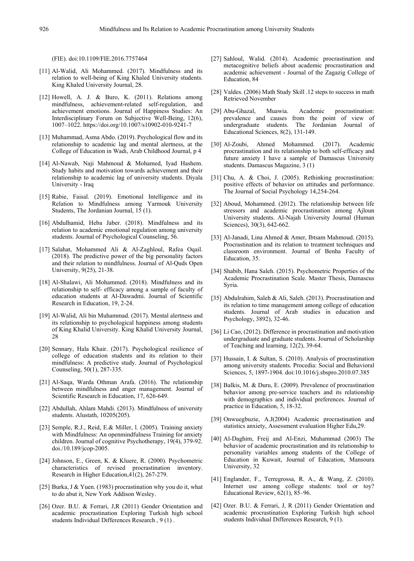(FIE). doi:10.1109/FIE.2016.7757464

- [11] Al-Walid, Ali Mohammed. (2017). Mindfulness and its relation to well-being of King Khaled University students. King Khaled University Journal, 28.
- [12] Howell, A. J. & Buro, K. (2011). Relations among mindfulness, achievement-related self-regulation, and achievement emotions. Journal of Happiness Studies: An Interdisciplinary Forum on Subjective Well-Being, 12(6), 1007–1022. https://doi.org/10.1007/s10902-010-9241-7
- [13] Muhammad, Asma Abdo. (2019). Psychological flow and its relationship to academic lag and mental alertness, at the College of Education in Wadi, Arab Childhood Journal, p 4
- [14] Al-Nawab, Naji Mahmoud & Mohamed, Iyad Hashem. Study habits and motivation towards achievement and their relationship to academic lag of university students. Diyala University - Iraq
- [15] Rabie, Faisal. (2019). Emotional Intelligence and its Relation to Mindfulness among Yarmouk University Students, The Jordanian Journal, 15 (1).
- [16] Abdulhamid, Heba Jaber. (2018). Mindfulness and its relation to academic emotional regulation among university students. Journal of Psychological Counseling, 56.
- [17] Salahat, Mohammed Ali & Al-Zaghloul, Rafea Oqail. (2018). The predictive power of the big personality factors and their relation to mindfulness. Journal of Al-Quds Open University, 9(25), 21-38.
- [18] Al-Shalawi, Ali Mohammed. (2018). Mindfulness and its relationship to self- efficacy among a sample of faculty of education students at Al-Dawadmi. Journal of Scientific Research in Education, 19, 2-24.
- [19] Al-Walid, Ali bin Muhammad. (2017). Mental alertness and its relationship to psychological happiness among students of King Khalid University. King Khalid University Journal, 28
- [20] Sennary, Hala Khair. (2017). Psychological resilience of college of education students and its relation to their mindfulness: A predictive study. Journal of Psychological Counseling, 50(1), 287-335.
- [21] Al-Saqa, Warda Othman Arafa. (2016). The relationship between mindfulness and anger management. Journal of Scientific Research in Education, 17, 626-649.
- [22] Abdullah, Ahlam Mahdi. (2013). Mindfulness of university students. Alustath, 10205(205).
- [23] Semple, R.J., Reid, E.& Miller, l. (2005). Training anxiety with Mindfulness: An openmindfulness Training for anxiety children. Journal of cognitive Psychotherapy, 19(4), 379-92. doi./10.189/jcop-2005.
- [24] Johnson, E., Green, K. & Kluere, R. (2000). Psychometric characteristics of revised procrastination inventory. Research in Higher Education,41(2), 267-279.
- [25] Burka, J & Yuen. (1983) procrastination why you do it, what to do abut it, New York Addison Wesley.
- [26] Ozer. B.U. & Ferrari, J,R (2011) Gender Orientation and academic procrastination Exploring Turkish high school students Individual Differences Research , 9 (1) .
- [27] Sahloul, Walid. (2014). Academic procrastination and metacognitive beliefs about academic procrastination and academic achievement - Journal of the Zagazig College of Education, 84
- [28] Valdes. (2006) Math Study Skill .12 steps to success in math Retrieved November
- [29] Abu-Ghazal, Muawia. Academic procrastination: prevalence and causes from the point of view of undergraduate students. The Jordanian Journal of Educational Sciences, 8(2), 131-149.
- [30] Al-Zoubi, Ahmed Mohammed. (2017). Academic procrastination and its relationship to both self-efficacy and future anxiety I have a sample of Damascus University students. Damascus Magazine, 3 (1)
- [31] Chu, A. & Choi, J. (2005). Rethinking procrastination: positive effects of behavior on attitudes and performance. The Journal of Social Psychology 14,254-264.
- [32] Aboud, Mohammed. (2012). The relationship between life stressors and academic procrastination among Ajloun University students. Al-Najah University Journal (Human Sciences), 30(3), 642-662.
- [33] Al-Janadi, Lina Ahmed & Amer, Ibtsam Mahmoud. (2015). Procrastination and its relation to treatment techniques and classroom environment. Journal of Benha Faculty of Education, 35.
- [34] Shabib, Hana Saleh. (2015). Psychometric Properties of the Academic Procrastination Scale. Master Thesis, Damascus Syria.
- [35] Abdulrahim, Saleh & Ali, Saleh. (2013). Procrastination and its relation to time management among college of education students. Journal of Arab studies in education and Psychology, 3892), 32-46.
- [36] Li Cao, (2012). Difference in procrastination and motivation undergraduate and graduate students. Journal of Scholarship of Teaching and learning, 12(2), 39-64.
- [37] Hussain, I. & Sultan, S. (2010). Analysis of procrastination among university students. Procedia: Social and Behavioral Sciences, 5, 1897-1904. doi:10.1016/j.sbspro.2010.07.385
- [38] Balkis, M. & Duru, E. (2009). Prevalence of procrastination behavior among pre-service teachers and its relationship with demographics and individual preferences. Journal of practice in Education, 5, 18-32.
- [39] Onwuegbuzie, A.J(2004) Academic procrastination and statistics anxiety, Assessment evaluation Higher Edu,29.
- [40] Al-Daghim, Freij and Al-Enzi, Muhammad (2003) The behavior of academic procrastination and its relationship to personality variables among students of the College of Education in Kuwait, Journal of Education, Mansoura University, 32
- [41] Englander, F., Terregrossa, R. A., & Wang, Z. (2010). Internet use among college students: tool or toy? Educational Review, 62(1), 85–96.
- [42] Ozer. B.U. & Ferrari, J, R (2011) Gender Orientation and academic procrastination Exploring Turkish high school students Individual Differences Research, 9 (1).